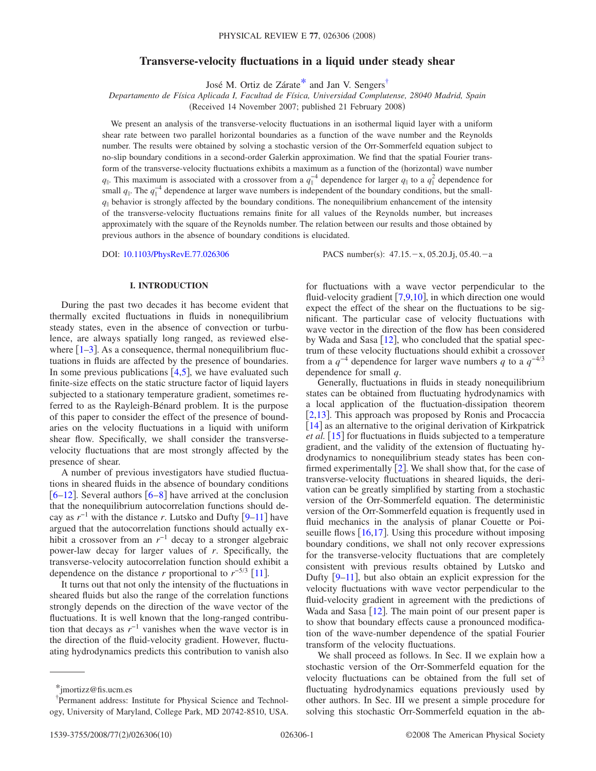# **Transverse-velocity fluctuations in a liquid under steady shear**

José M. Ortiz de Zárat[e\\*](#page-0-0) and Jan V. Senger[s†](#page-0-1)

*Departamento de Física Aplicada I, Facultad de Física, Universidad Complutense, 28040 Madrid, Spain*

(Received 14 November 2007; published 21 February 2008)

We present an analysis of the transverse-velocity fluctuations in an isothermal liquid layer with a uniform shear rate between two parallel horizontal boundaries as a function of the wave number and the Reynolds number. The results were obtained by solving a stochastic version of the Orr-Sommerfeld equation subject to no-slip boundary conditions in a second-order Galerkin approximation. We find that the spatial Fourier transform of the transverse-velocity fluctuations exhibits a maximum as a function of the (horizontal) wave number *q*<sub>|</sub>. This maximum is associated with a crossover from a  $q_{\parallel}^{-4}$  dependence for larger  $q_{\parallel}$  to a  $q_{\parallel}^{2}$  dependence for small  $q_{\parallel}$ . The  $q_{\parallel}^{-4}$  dependence at larger wave numbers is independent of the boundary conditions, but the small $q_{\parallel}$  behavior is strongly affected by the boundary conditions. The nonequilibrium enhancement of the intensity of the transverse-velocity fluctuations remains finite for all values of the Reynolds number, but increases approximately with the square of the Reynolds number. The relation between our results and those obtained by previous authors in the absence of boundary conditions is elucidated.

DOI: [10.1103/PhysRevE.77.026306](http://dx.doi.org/10.1103/PhysRevE.77.026306)

PACS number(s):  $47.15 - x$ , 05.20.Jj, 05.40. $-a$ 

### **I. INTRODUCTION**

During the past two decades it has become evident that thermally excited fluctuations in fluids in nonequilibrium steady states, even in the absence of convection or turbulence, are always spatially long ranged, as reviewed elsewhere  $\lceil 1-3 \rceil$  $\lceil 1-3 \rceil$  $\lceil 1-3 \rceil$ . As a consequence, thermal nonequilibrium fluctuations in fluids are affected by the presence of boundaries. In some previous publications  $[4,5]$  $[4,5]$  $[4,5]$  $[4,5]$ , we have evaluated such finite-size effects on the static structure factor of liquid layers subjected to a stationary temperature gradient, sometimes referred to as the Rayleigh-Bénard problem. It is the purpose of this paper to consider the effect of the presence of boundaries on the velocity fluctuations in a liquid with uniform shear flow. Specifically, we shall consider the transversevelocity fluctuations that are most strongly affected by the presence of shear.

A number of previous investigators have studied fluctuations in sheared fluids in the absence of boundary conditions  $[6–12]$  $[6–12]$  $[6–12]$  $[6–12]$ . Several authors  $[6–8]$  $[6–8]$  $[6–8]$  have arrived at the conclusion that the nonequilibrium autocorrelation functions should decay as  $r^{-1}$  with the distance *r*. Lutsko and Dufty [[9–](#page-9-7)[11](#page-9-8)] have argued that the autocorrelation functions should actually exhibit a crossover from an  $r^{-1}$  decay to a stronger algebraic power-law decay for larger values of *r*. Specifically, the transverse-velocity autocorrelation function should exhibit a dependence on the distance *r* proportional to  $r^{-5/3}$  [[11](#page-9-8)].

It turns out that not only the intensity of the fluctuations in sheared fluids but also the range of the correlation functions strongly depends on the direction of the wave vector of the fluctuations. It is well known that the long-ranged contribution that decays as  $r^{-1}$  vanishes when the wave vector is in the direction of the fluid-velocity gradient. However, fluctuating hydrodynamics predicts this contribution to vanish also for fluctuations with a wave vector perpendicular to the fluid-velocity gradient  $(7,9,10)$  $(7,9,10)$  $(7,9,10)$  $(7,9,10)$  $(7,9,10)$ , in which direction one would expect the effect of the shear on the fluctuations to be significant. The particular case of velocity fluctuations with wave vector in the direction of the flow has been considered by Wada and Sasa  $[12]$  $[12]$  $[12]$ , who concluded that the spatial spectrum of these velocity fluctuations should exhibit a crossover from a  $q^{-4}$  dependence for larger wave numbers q to a  $q^{-4/3}$ dependence for small *q*.

Generally, fluctuations in fluids in steady nonequilibrium states can be obtained from fluctuating hydrodynamics with a local application of the fluctuation-dissipation theorem  $[2,13]$  $[2,13]$  $[2,13]$  $[2,13]$ . This approach was proposed by Ronis and Procaccia  $\lceil 14 \rceil$  $\lceil 14 \rceil$  $\lceil 14 \rceil$  as an alternative to the original derivation of Kirkpatrick et al. [[15](#page-9-14)] for fluctuations in fluids subjected to a temperature gradient, and the validity of the extension of fluctuating hydrodynamics to nonequilibrium steady states has been confirmed experimentally  $\lceil 2 \rceil$  $\lceil 2 \rceil$  $\lceil 2 \rceil$ . We shall show that, for the case of transverse-velocity fluctuations in sheared liquids, the derivation can be greatly simplified by starting from a stochastic version of the Orr-Sommerfeld equation. The deterministic version of the Orr-Sommerfeld equation is frequently used in fluid mechanics in the analysis of planar Couette or Poiseuille flows  $[16,17]$  $[16,17]$  $[16,17]$  $[16,17]$ . Using this procedure without imposing boundary conditions, we shall not only recover expressions for the transverse-velocity fluctuations that are completely consistent with previous results obtained by Lutsko and Dufty  $[9-11]$  $[9-11]$  $[9-11]$ , but also obtain an explicit expression for the velocity fluctuations with wave vector perpendicular to the fluid-velocity gradient in agreement with the predictions of Wada and Sasa  $[12]$  $[12]$  $[12]$ . The main point of our present paper is to show that boundary effects cause a pronounced modification of the wave-number dependence of the spatial Fourier transform of the velocity fluctuations.

We shall proceed as follows. In Sec. II we explain how a stochastic version of the Orr-Sommerfeld equation for the velocity fluctuations can be obtained from the full set of fluctuating hydrodynamics equations previously used by other authors. In Sec. III we present a simple procedure for solving this stochastic Orr-Sommerfeld equation in the ab-

<span id="page-0-0"></span><sup>\*</sup>jmortizz@fis.ucm.es

<span id="page-0-1"></span><sup>†</sup> Permanent address: Institute for Physical Science and Technology, University of Maryland, College Park, MD 20742-8510, USA.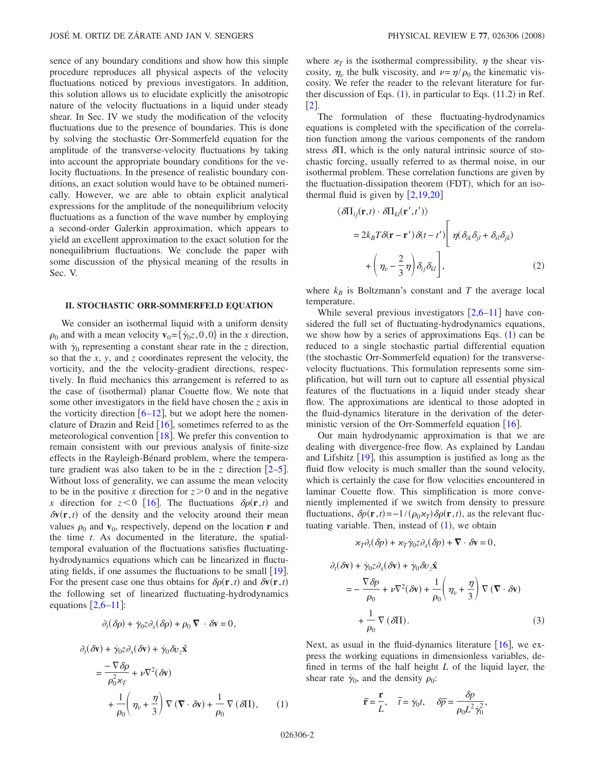sence of any boundary conditions and show how this simple procedure reproduces all physical aspects of the velocity fluctuations noticed by previous investigators. In addition, this solution allows us to elucidate explicitly the anisotropic nature of the velocity fluctuations in a liquid under steady shear. In Sec. IV we study the modification of the velocity fluctuations due to the presence of boundaries. This is done by solving the stochastic Orr-Sommerfeld equation for the amplitude of the transverse-velocity fluctuations by taking into account the appropriate boundary conditions for the velocity fluctuations. In the presence of realistic boundary conditions, an exact solution would have to be obtained numerically. However, we are able to obtain explicit analytical expressions for the amplitude of the nonequilibrium velocity fluctuations as a function of the wave number by employing a second-order Galerkin approximation, which appears to yield an excellent approximation to the exact solution for the nonequilibrium fluctuations. We conclude the paper with some discussion of the physical meaning of the results in Sec. V.

### **II. STOCHASTIC ORR-SOMMERFELD EQUATION**

We consider an isothermal liquid with a uniform density  $\rho_0$  and with a mean velocity  $\mathbf{v}_0 = {\gamma_0 z, 0, 0}$  in the *x* direction, with  $\dot{\gamma}_0$  representing a constant shear rate in the *z* direction, so that the *x*, *y*, and *z* coordinates represent the velocity, the vorticity, and the the velocity-gradient directions, respectively. In fluid mechanics this arrangement is referred to as the case of (isothermal) planar Couette flow. We note that some other investigators in the field have chosen the *z* axis in the vorticity direction  $[6–12]$  $[6–12]$  $[6–12]$  $[6–12]$ , but we adopt here the nomenclature of Drazin and Reid  $[16]$  $[16]$  $[16]$ , sometimes referred to as the meteorological convention  $\lceil 18 \rceil$  $\lceil 18 \rceil$  $\lceil 18 \rceil$ . We prefer this convention to remain consistent with our previous analysis of finite-size effects in the Rayleigh-Bénard problem, where the temperature gradient was also taken to be in the *z* direction  $[2-5]$  $[2-5]$  $[2-5]$ . Without loss of generality, we can assume the mean velocity to be in the positive *x* direction for  $z > 0$  and in the negative x direction for  $z < 0$  [[16](#page-9-15)]. The fluctuations  $\delta \rho(\mathbf{r}, t)$  and  $\delta v(\mathbf{r},t)$  of the density and the velocity around their mean values  $\rho_0$  and  $\mathbf{v}_0$ , respectively, depend on the location **r** and the time *t*. As documented in the literature, the spatialtemporal evaluation of the fluctuations satisfies fluctuatinghydrodynamics equations which can be linearized in fluctuating fields, if one assumes the fluctuations to be small  $\lceil 19 \rceil$  $\lceil 19 \rceil$  $\lceil 19 \rceil$ . For the present case one thus obtains for  $\delta \rho(\mathbf{r}, t)$  and  $\delta \mathbf{v}(\mathbf{r}, t)$ the following set of linearized fluctuating-hydrodynamics equations  $[2,6-11]$  $[2,6-11]$  $[2,6-11]$  $[2,6-11]$ :

$$
\partial_t(\delta \rho) + \dot{\gamma}_0 z \partial_x(\delta \rho) + \rho_0 \, \nabla \cdot \delta \mathbf{v} = 0,
$$

<span id="page-1-0"></span>
$$
\partial_t(\delta \mathbf{v}) + \dot{\gamma}_0 z \partial_x(\delta \mathbf{v}) + \dot{\gamma}_0 \delta v_z \hat{\mathbf{x}}
$$
  
= 
$$
\frac{-\nabla \delta \rho}{\rho_0^2 \kappa_T} + \nu \nabla^2(\delta \mathbf{v})
$$

$$
+ \frac{1}{\rho_0} \left( \eta_v + \frac{\eta}{3} \right) \nabla (\nabla \cdot \delta \mathbf{v}) + \frac{1}{\rho_0} \nabla (\delta \Pi), \qquad (1)
$$

where  $x_T$  is the isothermal compressibility,  $\eta$  the shear viscosity,  $\eta_v$  the bulk viscosity, and  $v = \eta/\rho_0$  the kinematic viscosity. We refer the reader to the relevant literature for further discussion of Eqs.  $(1)$  $(1)$  $(1)$ , in particular to Eqs.  $(11.2)$  in Ref.  $\lbrack 2 \rbrack$  $\lbrack 2 \rbrack$  $\lbrack 2 \rbrack$ .

The formulation of these fluctuating-hydrodynamics equations is completed with the specification of the correlation function among the various components of the random stress  $\delta \Pi$ , which is the only natural intrinsic source of stochastic forcing, usually referred to as thermal noise, in our isothermal problem. These correlation functions are given by the fluctuation-dissipation theorem (FDT), which for an isothermal fluid is given by  $[2,19,20]$  $[2,19,20]$  $[2,19,20]$  $[2,19,20]$  $[2,19,20]$ 

<span id="page-1-1"></span>
$$
\langle \delta \Pi_{ij}(\mathbf{r},t) \cdot \delta \Pi_{kl}(\mathbf{r}',t') \rangle
$$
  
=  $2k_B T \delta(\mathbf{r}-\mathbf{r}') \delta(t-t') \left[ \eta(\delta_{ik}\delta_{jl} + \delta_{il}\delta_{jk}) + \left(\eta_v - \frac{2}{3}\eta\right)\delta_{ij}\delta_{kl} \right],$  (2)

where  $k_B$  is Boltzmann's constant and *T* the average local temperature.

While several previous investigators  $|2,6-11|$  $|2,6-11|$  $|2,6-11|$  $|2,6-11|$  have considered the full set of fluctuating-hydrodynamics equations, we show how by a series of approximations Eqs.  $(1)$  $(1)$  $(1)$  can be reduced to a single stochastic partial differential equation (the stochastic Orr-Sommerfeld equation) for the transversevelocity fluctuations. This formulation represents some simplification, but will turn out to capture all essential physical features of the fluctuations in a liquid under steady shear flow. The approximations are identical to those adopted in the fluid-dynamics literature in the derivation of the deterministic version of the Orr-Sommerfeld equation  $[16]$  $[16]$  $[16]$ .

Our main hydrodynamic approximation is that we are dealing with divergence-free flow. As explained by Landau and Lifshitz  $[19]$  $[19]$  $[19]$ , this assumption is justified as long as the fluid flow velocity is much smaller than the sound velocity, which is certainly the case for flow velocities encountered in laminar Couette flow. This simplification is more conveniently implemented if we switch from density to pressure fluctuations,  $\delta p(\mathbf{r}, t) = -1/(\rho_0 \alpha_T) \delta \rho(\mathbf{r}, t)$ , as the relevant fluctuating variable. Then, instead of  $(1)$  $(1)$  $(1)$ , we obtain

$$
\varkappa_T\partial_t(\delta p)+\varkappa_T\dot\gamma_0z\partial_x(\delta p)+\boldsymbol{\nabla}\cdot\delta\mathbf{v}=0,
$$

$$
\partial_t(\delta \mathbf{v}) + \dot{\gamma}_0 z \partial_x(\delta \mathbf{v}) + \dot{\gamma}_0 \partial v_z \hat{\mathbf{x}}
$$
  
=  $-\frac{\nabla \delta p}{\rho_0} + \nu \nabla^2(\delta \mathbf{v}) + \frac{1}{\rho_0} \left( \eta_v + \frac{\eta}{3} \right) \nabla (\nabla \cdot \delta \mathbf{v})$   
+  $\frac{1}{\rho_0} \nabla (\delta \Pi).$  (3)

<span id="page-1-2"></span>Next, as usual in the fluid-dynamics literature  $[16]$  $[16]$  $[16]$ , we express the working equations in dimensionless variables, defined in terms of the half height *L* of the liquid layer, the shear rate  $\dot{\gamma}_0$ , and the density  $\rho_0$ :

$$
\tilde{\mathbf{r}} = \frac{\mathbf{r}}{L}, \quad \tilde{t} = \dot{\gamma}_0 t, \quad \delta \tilde{p} = \frac{\delta p}{\rho_0 L^2 \dot{\gamma}_0^2},
$$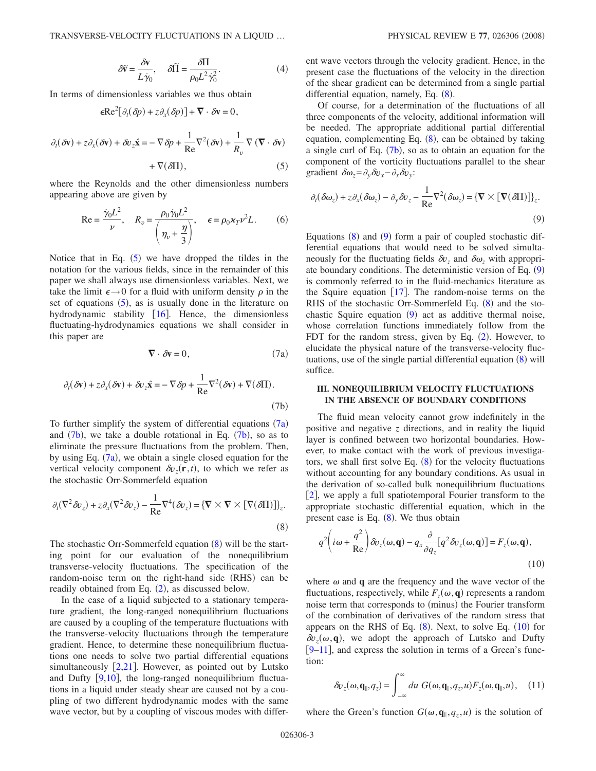$$
\delta \widetilde{\mathbf{v}} = \frac{\delta \mathbf{v}}{L \dot{\gamma}_0}, \quad \delta \widetilde{\Pi} = \frac{\delta \Pi}{\rho_0 L^2 \dot{\gamma}_0^2}.
$$
 (4)

<span id="page-2-0"></span>In terms of dimensionless variables we thus obtain

$$
\epsilon \text{Re}^2 [\partial_t (\delta p) + z \partial_x (\delta p)] + \nabla \cdot \delta \mathbf{v} = 0,
$$

$$
\partial_t(\delta \mathbf{v}) + z \partial_x(\delta \mathbf{v}) + \delta v_z \hat{\mathbf{x}} = -\nabla \delta p + \frac{1}{\text{Re}} \nabla^2(\delta \mathbf{v}) + \frac{1}{R_v} \nabla (\nabla \cdot \delta \mathbf{v}) + \nabla(\delta \Pi), \tag{5}
$$

where the Reynolds and the other dimensionless numbers appearing above are given by

$$
\text{Re} = \frac{\dot{\gamma}_0 L^2}{\nu}, \quad R_v = \frac{\rho_0 \dot{\gamma}_0 L^2}{\left(\eta_v + \frac{\eta}{3}\right)}, \quad \epsilon = \rho_0 \varkappa_T \nu^2 L. \tag{6}
$$

Notice that in Eq.  $(5)$  $(5)$  $(5)$  we have dropped the tildes in the notation for the various fields, since in the remainder of this paper we shall always use dimensionless variables. Next, we take the limit  $\epsilon \rightarrow 0$  for a fluid with uniform density  $\rho$  in the set of equations ([5](#page-2-0)), as is usually done in the literature on hydrodynamic stability  $[16]$  $[16]$  $[16]$ . Hence, the dimensionless fluctuating-hydrodynamics equations we shall consider in this paper are

$$
\nabla \cdot \delta \mathbf{v} = 0,\tag{7a}
$$

<span id="page-2-2"></span><span id="page-2-1"></span>
$$
\partial_t(\delta \mathbf{v}) + z \partial_x(\delta \mathbf{v}) + \delta v_z \hat{\mathbf{x}} = -\nabla \delta p + \frac{1}{\text{Re}} \nabla^2(\delta \mathbf{v}) + \nabla(\delta \Pi). \tag{7b}
$$

To further simplify the system of differential equations  $(7a)$  $(7a)$  $(7a)$ and  $(7b)$  $(7b)$  $(7b)$ , we take a double rotational in Eq.  $(7b)$ , so as to eliminate the pressure fluctuations from the problem. Then, by using Eq.  $(7a)$  $(7a)$  $(7a)$ , we obtain a single closed equation for the vertical velocity component  $\delta v_z(\mathbf{r},t)$ , to which we refer as the stochastic Orr-Sommerfeld equation

<span id="page-2-3"></span>
$$
\partial_t (\nabla^2 \delta v_z) + z \partial_x (\nabla^2 \delta v_z) - \frac{1}{\text{Re}} \nabla^4 (\delta v_z) = {\nabla \times \nabla \times [\nabla (\delta \Pi)] \}_z.
$$
\n(8)

The stochastic Orr-Sommerfeld equation  $(8)$  $(8)$  $(8)$  will be the starting point for our evaluation of the nonequilibrium transverse-velocity fluctuations. The specification of the random-noise term on the right-hand side (RHS) can be readily obtained from Eq. ([2](#page-1-1)), as discussed below.

In the case of a liquid subjected to a stationary temperature gradient, the long-ranged nonequilibrium fluctuations are caused by a coupling of the temperature fluctuations with the transverse-velocity fluctuations through the temperature gradient. Hence, to determine these nonequilibrium fluctuations one needs to solve two partial differential equations simultaneously  $[2,21]$  $[2,21]$  $[2,21]$  $[2,21]$ . However, as pointed out by Lutsko and Dufty  $[9,10]$  $[9,10]$  $[9,10]$  $[9,10]$ , the long-ranged nonequilibrium fluctuations in a liquid under steady shear are caused not by a coupling of two different hydrodynamic modes with the same wave vector, but by a coupling of viscous modes with different wave vectors through the velocity gradient. Hence, in the present case the fluctuations of the velocity in the direction of the shear gradient can be determined from a single partial differential equation, namely, Eq. ([8](#page-2-3)).

Of course, for a determination of the fluctuations of all three components of the velocity, additional information will be needed. The appropriate additional partial differential equation, complementing Eq.  $(8)$  $(8)$  $(8)$ , can be obtained by taking a single curl of Eq.  $(7b)$  $(7b)$  $(7b)$ , so as to obtain an equation for the component of the vorticity fluctuations parallel to the shear gradient  $\delta \omega_z = \partial_y \delta v_x - \partial_x \delta v_y$ .

<span id="page-2-4"></span>
$$
\partial_t(\delta \omega_z) + z \partial_x(\delta \omega_z) - \partial_y \delta v_z - \frac{1}{\text{Re}} \nabla^2(\delta \omega_z) = \{ \nabla \times [\nabla (\delta \Pi)] \}_z.
$$
\n(9)

Equations  $(8)$  $(8)$  $(8)$  and  $(9)$  $(9)$  $(9)$  form a pair of coupled stochastic differential equations that would need to be solved simultaneously for the fluctuating fields  $\delta v_z$  and  $\delta \omega_z$  with appropri-ate boundary conditions. The deterministic version of Eq. ([9](#page-2-4)) is commonly referred to in the fluid-mechanics literature as the Squire equation  $\lceil 17 \rceil$  $\lceil 17 \rceil$  $\lceil 17 \rceil$ . The random-noise terms on the RHS of the stochastic Orr-Sommerfeld Eq. ([8](#page-2-3)) and the stochastic Squire equation  $(9)$  $(9)$  $(9)$  act as additive thermal noise, whose correlation functions immediately follow from the FDT for the random stress, given by Eq. ([2](#page-1-1)). However, to elucidate the physical nature of the transverse-velocity fluctuations, use of the single partial differential equation  $(8)$  $(8)$  $(8)$  will suffice.

## **III. NONEQUILIBRIUM VELOCITY FLUCTUATIONS IN THE ABSENCE OF BOUNDARY CONDITIONS**

The fluid mean velocity cannot grow indefinitely in the positive and negative *z* directions, and in reality the liquid layer is confined between two horizontal boundaries. However, to make contact with the work of previous investigators, we shall first solve Eq.  $(8)$  $(8)$  $(8)$  for the velocity fluctuations without accounting for any boundary conditions. As usual in the derivation of so-called bulk nonequilibrium fluctuations  $[2]$  $[2]$  $[2]$ , we apply a full spatiotemporal Fourier transform to the appropriate stochastic differential equation, which in the present case is Eq.  $(8)$  $(8)$  $(8)$ . We thus obtain

<span id="page-2-5"></span>
$$
q^2 \left( i\omega + \frac{q^2}{\text{Re}} \right) \delta v_z(\omega, \mathbf{q}) - q_x \frac{\partial}{\partial q_z} [q^2 \delta v_z(\omega, \mathbf{q})] = F_z(\omega, \mathbf{q}),
$$
\n(10)

where  $\omega$  and **q** are the frequency and the wave vector of the fluctuations, respectively, while  $F_z(\omega, \mathbf{q})$  represents a random noise term that corresponds to (minus) the Fourier transform of the combination of derivatives of the random stress that appears on the RHS of Eq.  $(8)$  $(8)$  $(8)$ . Next, to solve Eq.  $(10)$  $(10)$  $(10)$  for  $\delta v_z(\omega, \mathbf{q})$ , we adopt the approach of Lutsko and Dufty [9–](#page-9-7)[11](#page-9-8), and express the solution in terms of a Green's function:

<span id="page-2-6"></span>
$$
\delta v_z(\omega, \mathbf{q}_{\parallel}, q_z) = \int_{-\infty}^{\infty} du \ G(\omega, \mathbf{q}_{\parallel}, q_z, u) F_z(\omega, \mathbf{q}_{\parallel}, u), \quad (11)
$$

where the Green's function  $G(\omega, \mathbf{q}_{\parallel}, q_z, u)$  is the solution of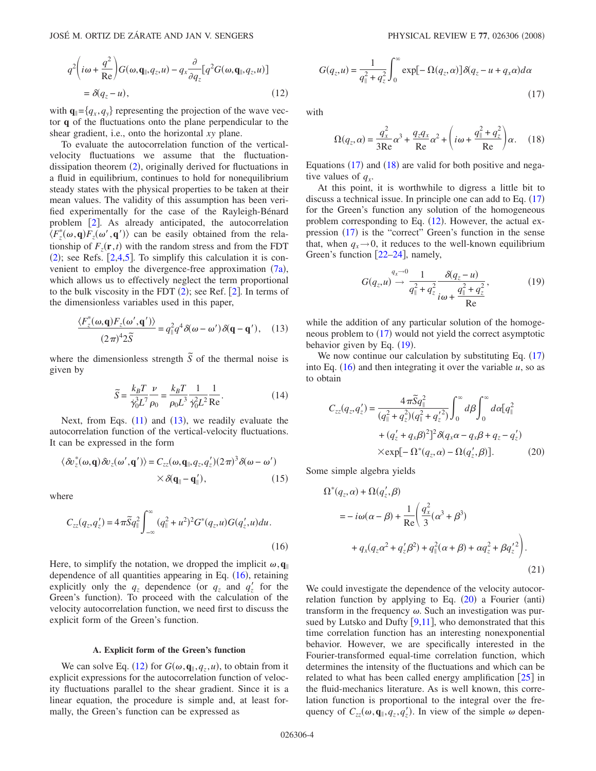<span id="page-3-2"></span>
$$
q^{2}\left(i\omega + \frac{q^{2}}{\text{Re}}\right)G(\omega, \mathbf{q}_{\parallel}, q_{z}, u) - q_{x}\frac{\partial}{\partial q_{z}}[q^{2}G(\omega, \mathbf{q}_{\parallel}, q_{z}, u)]
$$
  
=  $\delta(q_{z} - u),$  (12)

with  $\mathbf{q}_{\parallel} = \{q_x, q_y\}$  representing the projection of the wave vector **q** of the fluctuations onto the plane perpendicular to the shear gradient, i.e., onto the horizontal *xy* plane.

To evaluate the autocorrelation function of the verticalvelocity fluctuations we assume that the fluctuationdissipation theorem  $(2)$  $(2)$  $(2)$ , originally derived for fluctuations in a fluid in equilibrium, continues to hold for nonequilibrium steady states with the physical properties to be taken at their mean values. The validity of this assumption has been verified experimentally for the case of the Rayleigh-Bénard problem  $\lceil 2 \rceil$  $\lceil 2 \rceil$  $\lceil 2 \rceil$ . As already anticipated, the autocorrelation  $\langle F_z^*(\omega, \mathbf{q}) F_z(\omega', \mathbf{q}') \rangle$  can be easily obtained from the relationship of  $F_z(\mathbf{r},t)$  with the random stress and from the FDT  $(2)$  $(2)$  $(2)$ ; see Refs.  $[2,4,5]$  $[2,4,5]$  $[2,4,5]$  $[2,4,5]$ . To simplify this calculation it is convenient to employ the divergence-free approximation  $(7a)$  $(7a)$  $(7a)$ , which allows us to effectively neglect the term proportional to the bulk viscosity in the FDT  $(2)$  $(2)$  $(2)$ ; see Ref. [2]. In terms of the dimensionless variables used in this paper,

<span id="page-3-0"></span>
$$
\frac{\langle F_z^*(\omega, \mathbf{q}) F_z(\omega', \mathbf{q}')\rangle}{(2\pi)^4 2\tilde{S}} = q_\parallel^2 q^4 \delta(\omega - \omega') \delta(\mathbf{q} - \mathbf{q}'), \quad (13)
$$

<span id="page-3-7"></span>where the dimensionless strength  $\tilde{S}$  of the thermal noise is given by

$$
\widetilde{S} = \frac{k_B T}{\dot{\gamma}_0^3 L^7} \frac{\nu}{\rho_0} = \frac{k_B T}{\rho_0 L^3} \frac{1}{\dot{\gamma}_0^2 L^2} \frac{1}{\text{Re}}.
$$
 (14)

Next, from Eqs.  $(11)$  $(11)$  $(11)$  and  $(13)$  $(13)$  $(13)$ , we readily evaluate the autocorrelation function of the vertical-velocity fluctuations. It can be expressed in the form

$$
\langle \delta v_z^*(\omega, \mathbf{q}) \delta v_z(\omega', \mathbf{q}') \rangle = C_{zz}(\omega, \mathbf{q}_{\parallel}, q_z, q_z') (2\pi)^3 \delta(\omega - \omega')
$$
  
 
$$
\times \delta(\mathbf{q}_{\parallel} - \mathbf{q}'_{\parallel}), \qquad (15)
$$

<span id="page-3-1"></span>where

$$
C_{zz}(q_z, q_z') = 4\pi \tilde{S}q_{\parallel}^2 \int_{-\infty}^{\infty} (q_{\parallel}^2 + u^2)^2 G^*(q_z, u) G(q_z', u) du.
$$
\n(16)

Here, to simplify the notation, we dropped the implicit  $\omega$ ,  $\mathbf{q}_{\parallel}$ dependence of all quantities appearing in Eq. ([16](#page-3-1)), retaining explicitly only the  $q_z$  dependence (or  $q_z$  and  $q'_z$  for the Green's function). To proceed with the calculation of the velocity autocorrelation function, we need first to discuss the explicit form of the Green's function.

#### **A. Explicit form of the Green's function**

We can solve Eq. ([12](#page-3-2)) for  $G(\omega, \mathbf{q}_{\parallel}, q_z, u)$ , to obtain from it explicit expressions for the autocorrelation function of velocity fluctuations parallel to the shear gradient. Since it is a linear equation, the procedure is simple and, at least formally, the Green's function can be expressed as

<span id="page-3-3"></span>
$$
G(q_z, u) = \frac{1}{q_{\parallel}^2 + q_z^2} \int_0^{\infty} \exp[-\Omega(q_z, \alpha)] \delta(q_z - u + q_x \alpha) d\alpha
$$
\n(17)

<span id="page-3-4"></span>with

$$
\Omega(q_z, \alpha) = \frac{q_x^2}{3\text{Re}}\alpha^3 + \frac{q_z q_x}{\text{Re}}\alpha^2 + \left(i\omega + \frac{q_{\parallel}^2 + q_z^2}{\text{Re}}\right)\alpha.
$$
 (18)

Equations  $(17)$  $(17)$  $(17)$  and  $(18)$  $(18)$  $(18)$  are valid for both positive and negative values of  $q<sub>r</sub>$ .

At this point, it is worthwhile to digress a little bit to discuss a technical issue. In principle one can add to Eq.  $(17)$  $(17)$  $(17)$ for the Green's function any solution of the homogeneous problem corresponding to Eq.  $(12)$  $(12)$  $(12)$ . However, the actual ex-pression ([17](#page-3-3)) is the "correct" Green's function in the sense that, when  $q_x \rightarrow 0$ , it reduces to the well-known equilibrium Green's function  $[22-24]$  $[22-24]$  $[22-24]$ , namely,

$$
G(q_z, u) \xrightarrow{q_x \to 0} \frac{1}{q_{\parallel}^2 + q_z^2} \frac{\delta(q_z - u)}{i\omega + \frac{q_{\parallel}^2 + q_z^2}{Re}},
$$
(19)

<span id="page-3-5"></span>while the addition of any particular solution of the homogeneous problem to  $(17)$  $(17)$  $(17)$  would not yield the correct asymptotic behavior given by Eq.  $(19)$  $(19)$  $(19)$ .

We now continue our calculation by substituting Eq.  $(17)$  $(17)$  $(17)$ into Eq.  $(16)$  $(16)$  $(16)$  and then integrating it over the variable  $u$ , so as to obtain

$$
C_{zz}(q_z, q'_z) = \frac{4\pi \tilde{S}q_{\parallel}^2}{(q_{\parallel}^2 + q_z^2)(q_{\parallel}^2 + q'_z^2)} \int_0^{\infty} d\beta \int_0^{\infty} d\alpha [q_{\parallel}^2 + (q'_z + q_x \beta)^2]^2 \delta(q_x \alpha - q_x \beta + q_z - q'_z)
$$
  
× $\exp[-\Omega^*(q_z, \alpha) - \Omega(q'_z, \beta)].$  (20)

<span id="page-3-6"></span>Some simple algebra yields

$$
\Omega^*(q_z, \alpha) + \Omega(q_z', \beta)
$$
  
=  $-i\omega(\alpha - \beta) + \frac{1}{\text{Re}} \left( \frac{q_x^2}{3} (\alpha^3 + \beta^3) + q_x(q_z\alpha^2 + q_z'\beta^2) + q_{\parallel}^2(\alpha + \beta) + \alpha q_z^2 + \beta q_z'^2 \right).$  (21)

We could investigate the dependence of the velocity autocorrelation function by applying to Eq.  $(20)$  $(20)$  $(20)$  a Fourier (anti) transform in the frequency  $\omega$ . Such an investigation was pursued by Lutsko and Dufty  $[9,11]$  $[9,11]$  $[9,11]$  $[9,11]$ , who demonstrated that this time correlation function has an interesting nonexponential behavior. However, we are specifically interested in the Fourier-transformed equal-time correlation function, which determines the intensity of the fluctuations and which can be related to what has been called energy amplification  $\lceil 25 \rceil$  $\lceil 25 \rceil$  $\lceil 25 \rceil$  in the fluid-mechanics literature. As is well known, this correlation function is proportional to the integral over the frequency of  $C_{zz}(\omega, \mathbf{q}_{\parallel}, q_z, q_z)$ . In view of the simple  $\omega$  depen-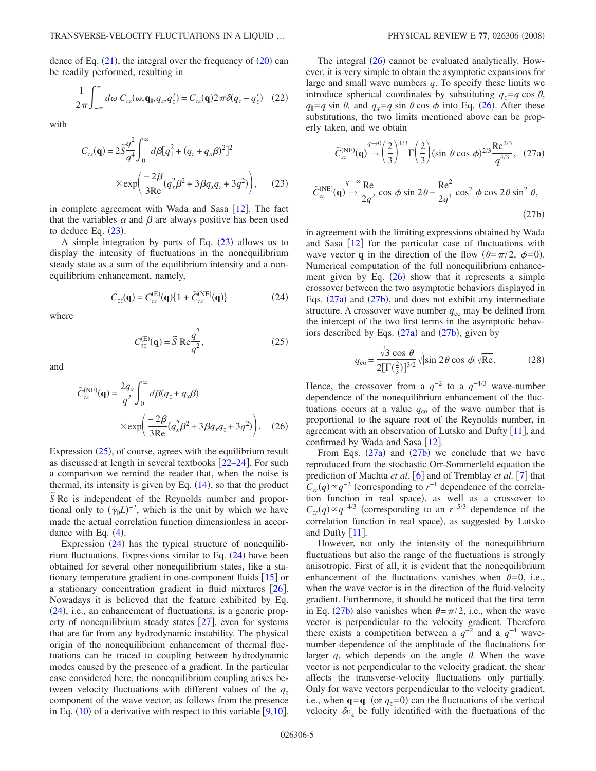dence of Eq.  $(21)$  $(21)$  $(21)$ , the integral over the frequency of  $(20)$  $(20)$  $(20)$  can be readily performed, resulting in

$$
\frac{1}{2\pi} \int_{-\infty}^{\infty} d\omega \ C_{zz}(\omega, \mathbf{q}_{\parallel}, q_z, q_z') = C_{zz}(\mathbf{q}) 2\pi \delta(q_z - q_z') \quad (22)
$$

<span id="page-4-0"></span>with

$$
C_{zz}(\mathbf{q}) = 2\tilde{S}\frac{q_{\parallel}^{2}}{q^{4}} \int_{0}^{\infty} d\beta [q_{\parallel}^{2} + (q_{z} + q_{x}\beta)^{2}]^{2}
$$

$$
\times \exp\left(\frac{-2\beta}{3\text{Re}}(q_{x}^{2}\beta^{2} + 3\beta q_{x}q_{z} + 3q^{2})\right), \quad (23)
$$

in complete agreement with Wada and Sasa  $[12]$  $[12]$  $[12]$ . The fact that the variables  $\alpha$  and  $\beta$  are always positive has been used to deduce Eq.  $(23)$  $(23)$  $(23)$ .

A simple integration by parts of Eq.  $(23)$  $(23)$  $(23)$  allows us to display the intensity of fluctuations in the nonequilibrium steady state as a sum of the equilibrium intensity and a nonequilibrium enhancement, namely,

$$
C_{zz}(\mathbf{q}) = C_{zz}^{(\text{E})}(\mathbf{q}) \{ 1 + \tilde{C}_{zz}^{(\text{NE})}(\mathbf{q}) \}
$$
(24)

<span id="page-4-2"></span><span id="page-4-1"></span>where

$$
C_{zz}^{(\mathrm{E})}(\mathbf{q}) = \widetilde{S} \operatorname{Re} \frac{q_{\parallel}^2}{q^2},\tag{25}
$$

<span id="page-4-3"></span>and

$$
\widetilde{C}_{zz}^{(\text{NE})}(\mathbf{q}) = \frac{2q_x}{q^2} \int_0^\infty d\beta (q_z + q_x \beta)
$$
\n
$$
\times \exp\left(\frac{-2\beta}{3\text{Re}}(q_x^2 \beta^2 + 3\beta q_x q_z + 3q^2)\right). \quad (26)
$$

Expression  $(25)$  $(25)$  $(25)$ , of course, agrees with the equilibrium result as discussed at length in several textbooks  $[22-24]$  $[22-24]$  $[22-24]$ . For such a comparison we remind the reader that, when the noise is thermal, its intensity is given by Eq.  $(14)$  $(14)$  $(14)$ , so that the product  $\overline{S}$  Re is independent of the Reynolds number and proportional only to  $(\dot{\gamma}_0 L)^{-2}$ , which is the unit by which we have made the actual correlation function dimensionless in accordance with Eq.  $(4)$  $(4)$  $(4)$ .

Expression  $(24)$  $(24)$  $(24)$  has the typical structure of nonequilibrium fluctuations. Expressions similar to Eq.  $(24)$  $(24)$  $(24)$  have been obtained for several other nonequilibrium states, like a stationary temperature gradient in one-component fluids  $\lceil 15 \rceil$  $\lceil 15 \rceil$  $\lceil 15 \rceil$  or a stationary concentration gradient in fluid mixtures  $[26]$  $[26]$  $[26]$ . Nowadays it is believed that the feature exhibited by Eq.  $(24)$  $(24)$  $(24)$ , i.e., an enhancement of fluctuations, is a generic property of nonequilibrium steady states  $\lceil 27 \rceil$  $\lceil 27 \rceil$  $\lceil 27 \rceil$ , even for systems that are far from any hydrodynamic instability. The physical origin of the nonequilibrium enhancement of thermal fluctuations can be traced to coupling between hydrodynamic modes caused by the presence of a gradient. In the particular case considered here, the nonequilibrium coupling arises between velocity fluctuations with different values of the  $q_z$ component of the wave vector, as follows from the presence in Eq.  $(10)$  $(10)$  $(10)$  of a derivative with respect to this variable  $[9,10]$  $[9,10]$  $[9,10]$ .

The integral  $(26)$  $(26)$  $(26)$  cannot be evaluated analytically. However, it is very simple to obtain the asymptotic expansions for large and small wave numbers *q*. To specify these limits we introduce spherical coordinates by substituting  $q_z = q \cos \theta$ ,  $q_{\parallel} = q \sin \theta$ , and  $q_x = q \sin \theta \cos \phi$  into Eq. ([26](#page-4-3)). After these substitutions, the two limits mentioned above can be properly taken, and we obtain

<span id="page-4-5"></span><span id="page-4-4"></span>
$$
\widetilde{C}_{zz}^{(\text{NE})}(\mathbf{q}) \rightarrow \left(\frac{2}{3}\right)^{1/3} \Gamma\left(\frac{2}{3}\right) (\sin \theta \cos \phi)^{2/3} \frac{\text{Re}^{2/3}}{q^{4/3}}, \quad (27a)
$$

$$
\widetilde{C}_{zz}^{(\text{NE})}(\mathbf{q}) \rightarrow \frac{4}{2q^2} \cos \phi \sin 2\theta - \frac{\text{Re}^2}{2q^4} \cos^2 \phi \cos 2\theta \sin^2 \theta,
$$

$$
(27b)
$$

in agreement with the limiting expressions obtained by Wada and Sasa  $\lceil 12 \rceil$  $\lceil 12 \rceil$  $\lceil 12 \rceil$  for the particular case of fluctuations with wave vector **q** in the direction of the flow  $(\theta = \pi/2, \phi = 0)$ . Numerical computation of the full nonequilibrium enhancement given by Eq.  $(26)$  $(26)$  $(26)$  show that it represents a simple crossover between the two asymptotic behaviors displayed in Eqs.  $(27a)$  $(27a)$  $(27a)$  and  $(27b)$  $(27b)$  $(27b)$ , and does not exhibit any intermediate structure. A crossover wave number  $q_{\rm co}$  may be defined from the intercept of the two first terms in the asymptotic behaviors described by Eqs.  $(27a)$  $(27a)$  $(27a)$  and  $(27b)$  $(27b)$  $(27b)$ , given by

$$
q_{\rm co} = \frac{\sqrt{3} \cos \theta}{2[\Gamma(\frac{2}{3})]^{3/2}} \sqrt{|\sin 2\theta \cos \phi|} \sqrt{\text{Re}}.
$$
 (28)

Hence, the crossover from a  $q^{-2}$  to a  $q^{-4/3}$  wave-number dependence of the nonequilibrium enhancement of the fluctuations occurs at a value  $q_{\rm co}$  of the wave number that is proportional to the square root of the Reynolds number, in agreement with an observation of Lutsko and Dufty  $|11|$  $|11|$  $|11|$ , and confirmed by Wada and Sasa  $[12]$  $[12]$  $[12]$ .

From Eqs.  $(27a)$  $(27a)$  $(27a)$  and  $(27b)$  $(27b)$  $(27b)$  we conclude that we have reproduced from the stochastic Orr-Sommerfeld equation the prediction of Machta *et al.* [[6](#page-9-4)] and of Tremblay *et al.* [[7](#page-9-9)] that  $C_{zz}(q) \propto q^{-2}$  (corresponding to  $r^{-1}$  dependence of the correlation function in real space), as well as a crossover to  $C_{zz}(q) \propto q^{-4/3}$  (corresponding to an *r*<sup>−5/3</sup> dependence of the correlation function in real space), as suggested by Lutsko and Dufty  $[11]$  $[11]$  $[11]$ .

However, not only the intensity of the nonequilibrium fluctuations but also the range of the fluctuations is strongly anisotropic. First of all, it is evident that the nonequilibrium enhancement of the fluctuations vanishes when  $\theta=0$ , i.e., when the wave vector is in the direction of the fluid-velocity gradient. Furthermore, it should be noticed that the first term in Eq. ([27b](#page-4-5)) also vanishes when  $\theta = \pi/2$ , i.e., when the wave vector is perpendicular to the velocity gradient. Therefore there exists a competition between a  $q^{-2}$  and a  $q^{-4}$  wavenumber dependence of the amplitude of the fluctuations for larger q, which depends on the angle  $\theta$ . When the wave vector is not perpendicular to the velocity gradient, the shear affects the transverse-velocity fluctuations only partially. Only for wave vectors perpendicular to the velocity gradient, i.e., when  $\mathbf{q} = \mathbf{q}$  (or  $q_z = 0$ ) can the fluctuations of the vertical velocity  $\delta v_z$  be fully identified with the fluctuations of the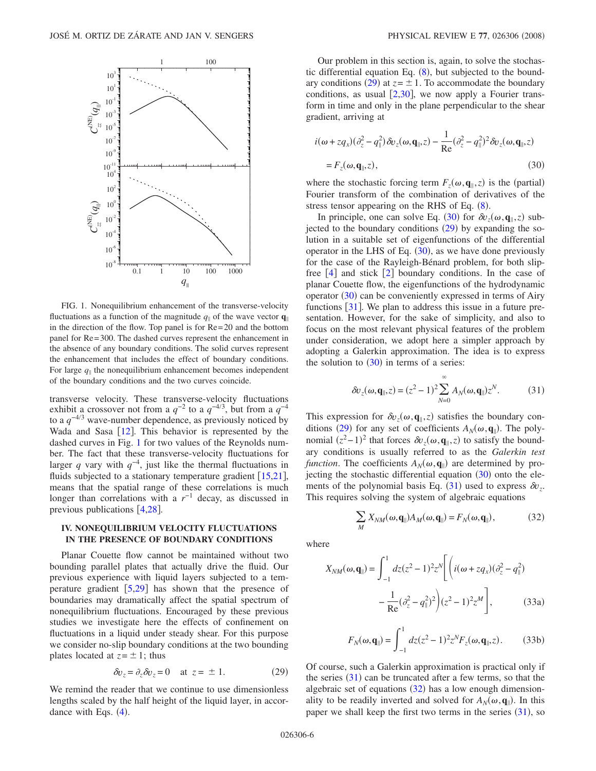<span id="page-5-0"></span>

FIG. 1. Nonequilibrium enhancement of the transverse-velocity fluctuations as a function of the magnitude  $q_{\parallel}$  of the wave vector  $\mathbf{q}_{\parallel}$ in the direction of the flow. Top panel is for Re=20 and the bottom panel for Re=300. The dashed curves represent the enhancement in the absence of any boundary conditions. The solid curves represent the enhancement that includes the effect of boundary conditions. For large  $q_{\parallel}$  the nonequilibrium enhancement becomes independent of the boundary conditions and the two curves coincide.

transverse velocity. These transverse-velocity fluctuations exhibit a crossover not from a  $q^{-2}$  to a  $q^{-4/3}$ , but from a  $q^{-4}$ to a *q*−4/<sup>3</sup> wave-number dependence, as previously noticed by Wada and Sasa  $[12]$  $[12]$  $[12]$ . This behavior is represented by the dashed curves in Fig. [1](#page-5-0) for two values of the Reynolds number. The fact that these transverse-velocity fluctuations for larger *q* vary with  $q^{-4}$ , just like the thermal fluctuations in fluids subjected to a stationary temperature gradient  $[15,21]$  $[15,21]$  $[15,21]$  $[15,21]$ , means that the spatial range of these correlations is much longer than correlations with a *r*−1 decay, as discussed in previous publications  $[4,28]$  $[4,28]$  $[4,28]$  $[4,28]$ .

## **IV. NONEQUILIBRIUM VELOCITY FLUCTUATIONS IN THE PRESENCE OF BOUNDARY CONDITIONS**

Planar Couette flow cannot be maintained without two bounding parallel plates that actually drive the fluid. Our previous experience with liquid layers subjected to a temperature gradient  $[5,29]$  $[5,29]$  $[5,29]$  $[5,29]$  has shown that the presence of boundaries may dramatically affect the spatial spectrum of nonequilibrium fluctuations. Encouraged by these previous studies we investigate here the effects of confinement on fluctuations in a liquid under steady shear. For this purpose we consider no-slip boundary conditions at the two bounding plates located at  $z = \pm 1$ ; thus

$$
\delta v_z = \partial_z \delta v_z = 0 \quad \text{at } z = \pm 1. \tag{29}
$$

<span id="page-5-1"></span>We remind the reader that we continue to use dimensionless lengths scaled by the half height of the liquid layer, in accordance with Eqs.  $(4)$  $(4)$  $(4)$ .

Our problem in this section is, again, to solve the stochastic differential equation Eq.  $(8)$  $(8)$  $(8)$ , but subjected to the bound-ary conditions ([29](#page-5-1)) at  $z = \pm 1$ . To accommodate the boundary conditions, as usual  $[2,30]$  $[2,30]$  $[2,30]$  $[2,30]$ , we now apply a Fourier transform in time and only in the plane perpendicular to the shear gradient, arriving at

<span id="page-5-2"></span>
$$
i(\omega + zq_x)(\partial_z^2 - q_{\parallel}^2) \delta v_z(\omega, \mathbf{q}_{\parallel}, z) - \frac{1}{\text{Re}} (\partial_z^2 - q_{\parallel}^2)^2 \delta v_z(\omega, \mathbf{q}_{\parallel}, z)
$$
  
=  $F_z(\omega, \mathbf{q}_{\parallel}, z)$ , (30)

where the stochastic forcing term  $F_z(\omega, \mathbf{q}_{\parallel}, z)$  is the (partial) Fourier transform of the combination of derivatives of the stress tensor appearing on the RHS of Eq.  $(8)$  $(8)$  $(8)$ .

In principle, one can solve Eq. ([30](#page-5-2)) for  $\delta v_z(\omega, \mathbf{q}_{\parallel}, z)$  subjected to the boundary conditions  $(29)$  $(29)$  $(29)$  by expanding the solution in a suitable set of eigenfunctions of the differential operator in the LHS of Eq.  $(30)$  $(30)$  $(30)$ , as we have done previously for the case of the Rayleigh-Bénard problem, for both slipfree  $[4]$  $[4]$  $[4]$  and stick  $[2]$  $[2]$  $[2]$  boundary conditions. In the case of planar Couette flow, the eigenfunctions of the hydrodynamic operator ([30](#page-5-2)) can be conveniently expressed in terms of Airy functions  $\lceil 31 \rceil$  $\lceil 31 \rceil$  $\lceil 31 \rceil$ . We plan to address this issue in a future presentation. However, for the sake of simplicity, and also to focus on the most relevant physical features of the problem under consideration, we adopt here a simpler approach by adopting a Galerkin approximation. The idea is to express the solution to  $(30)$  $(30)$  $(30)$  in terms of a series:

$$
\delta v_z(\omega, \mathbf{q}_{\parallel}, z) = (z^2 - 1)^2 \sum_{N=0}^{\infty} A_N(\omega, \mathbf{q}_{\parallel}) z^N.
$$
 (31)

<span id="page-5-3"></span>This expression for  $\delta v_z(\omega, \mathbf{q}_{\parallel}, z)$  satisfies the boundary con-ditions ([29](#page-5-1)) for any set of coefficients  $A_N(\omega, \mathbf{q}_{\parallel})$ . The polynomial  $(z^2-1)^2$  that forces  $\delta v_z(\omega, \mathbf{q}_{\parallel}, z)$  to satisfy the boundary conditions is usually referred to as the *Galerkin test function*. The coefficients  $A_N(\omega, \mathbf{q}_{\parallel})$  are determined by projecting the stochastic differential equation  $(30)$  $(30)$  $(30)$  onto the ele-ments of the polynomial basis Eq. ([31](#page-5-3)) used to express  $\delta v_z$ . This requires solving the system of algebraic equations

$$
\sum_{M} X_{NM}(\omega, \mathbf{q}_{\parallel}) A_M(\omega, \mathbf{q}_{\parallel}) = F_N(\omega, \mathbf{q}_{\parallel}), \tag{32}
$$

<span id="page-5-4"></span>where

$$
X_{NM}(\omega, \mathbf{q}_{\parallel}) = \int_{-1}^{1} dz (z^2 - 1)^2 z^N \bigg[ \left( i(\omega + z q_x) (\partial_z^2 - q_{\parallel}^2) - \frac{1}{\text{Re}} (\partial_z^2 - q_{\parallel}^2)^2 \right) (z^2 - 1)^2 z^M \bigg],
$$
 (33a)

$$
F_N(\omega, \mathbf{q}_{\parallel}) = \int_{-1}^{1} dz (z^2 - 1)^2 z^N F_z(\omega, \mathbf{q}_{\parallel}, z).
$$
 (33b)

<span id="page-5-5"></span>Of course, such a Galerkin approximation is practical only if the series  $(31)$  $(31)$  $(31)$  can be truncated after a few terms, so that the algebraic set of equations  $(32)$  $(32)$  $(32)$  has a low enough dimensionality to be readily inverted and solved for  $A_N(\omega, \mathbf{q}_{\parallel})$ . In this paper we shall keep the first two terms in the series  $(31)$  $(31)$  $(31)$ , so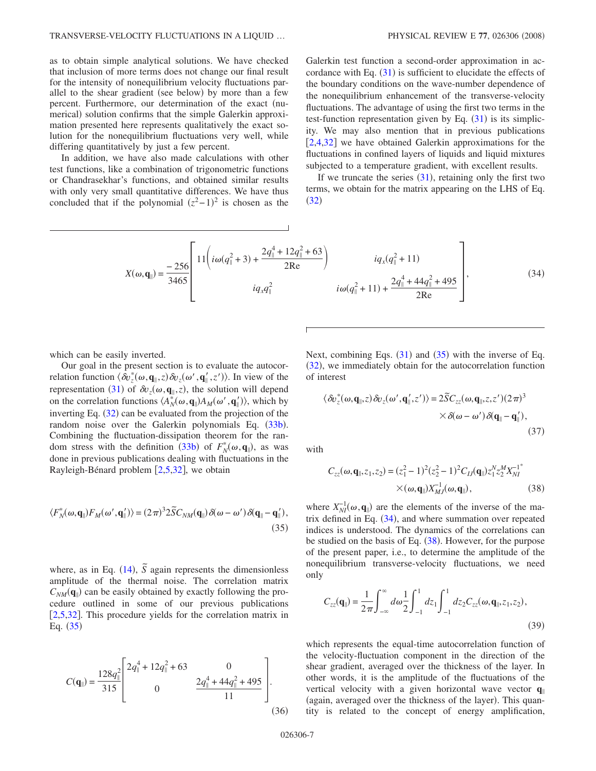as to obtain simple analytical solutions. We have checked that inclusion of more terms does not change our final result for the intensity of nonequilibrium velocity fluctuations parallel to the shear gradient (see below) by more than a few percent. Furthermore, our determination of the exact (numerical) solution confirms that the simple Galerkin approximation presented here represents qualitatively the exact solution for the nonequilibrium fluctuations very well, while differing quantitatively by just a few percent.

In addition, we have also made calculations with other test functions, like a combination of trigonometric functions or Chandrasekhar's functions, and obtained similar results with only very small quantitative differences. We have thus concluded that if the polynomial  $(z^2-1)^2$  is chosen as the

Galerkin test function a second-order approximation in accordance with Eq.  $(31)$  $(31)$  $(31)$  is sufficient to elucidate the effects of the boundary conditions on the wave-number dependence of the nonequilibrium enhancement of the transverse-velocity fluctuations. The advantage of using the first two terms in the test-function representation given by Eq.  $(31)$  $(31)$  $(31)$  is its simplicity. We may also mention that in previous publications  $[2,4,32]$  $[2,4,32]$  $[2,4,32]$  $[2,4,32]$  $[2,4,32]$  we have obtained Galerkin approximations for the fluctuations in confined layers of liquids and liquid mixtures subjected to a temperature gradient, with excellent results.

If we truncate the series  $(31)$  $(31)$  $(31)$ , retaining only the first two terms, we obtain for the matrix appearing on the LHS of Eq.  $(32)$  $(32)$  $(32)$ 

<span id="page-6-1"></span>
$$
X(\omega, \mathbf{q}_{\parallel}) = \frac{-256}{3465} \left[ 11 \left( i\omega (q_{\parallel}^2 + 3) + \frac{2q_{\parallel}^4 + 12q_{\parallel}^2 + 63}{2Re} \right) \right. \qquad \qquad i q_x (q_{\parallel}^2 + 11) \qquad \qquad i q_x (q_{\parallel}^2 + 11) \qquad \qquad i q_y (q_{\parallel}^2 + 11) + \frac{2q_{\parallel}^4 + 44q_{\parallel}^2 + 495}{2Re} \right], \qquad (34)
$$

which can be easily inverted.

Our goal in the present section is to evaluate the autocorrelation function  $\langle \hat{\delta}v_z^*(\omega, \mathbf{q}_\parallel, z) \delta v_z(\omega', \mathbf{q}_\parallel', z') \rangle$ . In view of the representation ([31](#page-5-3)) of  $\delta v_z(\omega, \mathbf{q}_{\parallel}, z)$ , the solution will depend on the correlation functions  $\langle A_N^*(\omega, \mathbf{q}_{\parallel}) A_M(\omega', \mathbf{q}'_{\parallel}) \rangle$ , which by inverting Eq.  $(32)$  $(32)$  $(32)$  can be evaluated from the projection of the random noise over the Galerkin polynomials Eq. ([33b](#page-5-5)). Combining the fluctuation-dissipation theorem for the ran-dom stress with the definition ([33b](#page-5-5)) of  $F_N^*(\omega, \mathbf{q}_\parallel)$ , as was done in previous publications dealing with fluctuations in the Rayleigh-Bénard problem  $[2,5,32]$  $[2,5,32]$  $[2,5,32]$  $[2,5,32]$  $[2,5,32]$ , we obtain

<span id="page-6-0"></span>
$$
\langle F_N^*(\omega, \mathbf{q}_{\parallel}) F_M(\omega', \mathbf{q}_{\parallel}') \rangle = (2\pi)^3 2\tilde{S} C_{NM}(\mathbf{q}_{\parallel}) \delta(\omega - \omega') \delta(\mathbf{q}_{\parallel} - \mathbf{q}_{\parallel}'),
$$
\n(35)

where, as in Eq. ([14](#page-3-7)),  $\tilde{S}$  again represents the dimensionless amplitude of the thermal noise. The correlation matrix  $C_{NM}(\mathbf{q}_{\parallel})$  can be easily obtained by exactly following the procedure outlined in some of our previous publications [[2](#page-9-11)[,5](#page-9-3)[,32](#page-9-30)]. This procedure yields for the correlation matrix in Eq.  $(35)$  $(35)$  $(35)$ 

$$
C(\mathbf{q}_{\parallel}) = \frac{128q_{\parallel}^{2}}{315} \begin{bmatrix} 2q_{\parallel}^{4} + 12q_{\parallel}^{2} + 63 & 0\\ 0 & \frac{2q_{\parallel}^{4} + 44q_{\parallel}^{2} + 495}{11} \end{bmatrix}.
$$
\n(36)

Next, combining Eqs.  $(31)$  $(31)$  $(31)$  and  $(35)$  $(35)$  $(35)$  with the inverse of Eq. ([32](#page-5-4)), we immediately obtain for the autocorrelation function of interest

$$
\langle \delta v_z^*(\omega, \mathbf{q}_{\parallel}, z) \delta v_z(\omega', \mathbf{q}_{\parallel}', z') \rangle = 2 \widetilde{S} C_{zz}(\omega, \mathbf{q}_{\parallel}, z, z') (2\pi)^3
$$
  
 
$$
\times \delta(\omega - \omega') \delta(\mathbf{q}_{\parallel} - \mathbf{q}_{\parallel}'),
$$
 (37)

<span id="page-6-2"></span>with

$$
C_{zz}(\omega, \mathbf{q}_{\parallel}, z_1, z_2) = (z_1^2 - 1)^2 (z_2^2 - 1)^2 C_{IJ}(\mathbf{q}_{\parallel}) z_1^N z_2^M X_{NI}^{-1^*}
$$
  
× $(\omega, \mathbf{q}_{\parallel}) X_{MJ}^{-1}(\omega, \mathbf{q}_{\parallel}),$  (38)

where  $X_{NI}^{-1}(\omega, \mathbf{q}_{\parallel})$  are the elements of the inverse of the matrix defined in Eq.  $(34)$  $(34)$  $(34)$ , and where summation over repeated indices is understood. The dynamics of the correlations can be studied on the basis of Eq.  $(38)$  $(38)$  $(38)$ . However, for the purpose of the present paper, i.e., to determine the amplitude of the nonequilibrium transverse-velocity fluctuations, we need only

<span id="page-6-3"></span>
$$
C_{zz}(\mathbf{q}_{\parallel}) = \frac{1}{2\pi} \int_{-\infty}^{\infty} d\omega \frac{1}{2} \int_{-1}^{1} dz_1 \int_{-1}^{1} dz_2 C_{zz}(\omega, \mathbf{q}_{\parallel}, z_1, z_2),
$$
\n(39)

which represents the equal-time autocorrelation function of the velocity-fluctuation component in the direction of the shear gradient, averaged over the thickness of the layer. In other words, it is the amplitude of the fluctuations of the vertical velocity with a given horizontal wave vector **q** (again, averaged over the thickness of the layer). This quantity is related to the concept of energy amplification,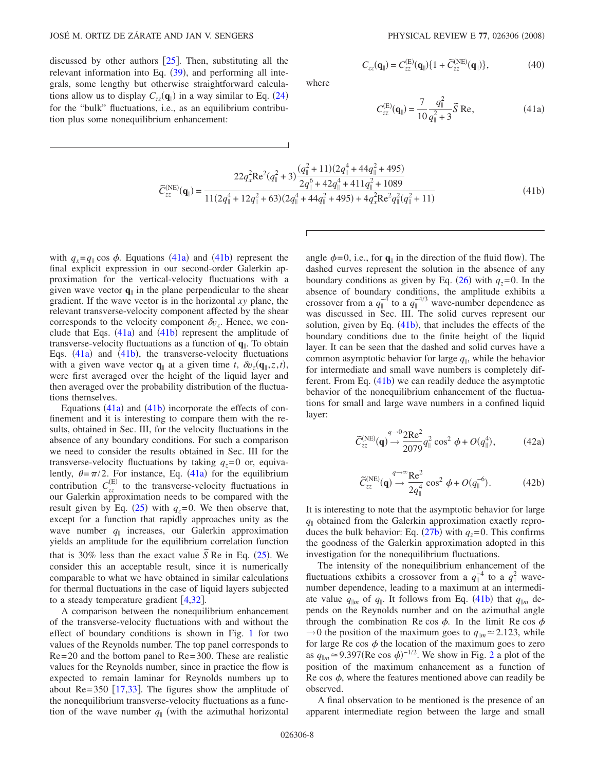discussed by other authors  $\vert 25 \vert$  $\vert 25 \vert$  $\vert 25 \vert$ . Then, substituting all the relevant information into Eq.  $(39)$  $(39)$  $(39)$ , and performing all integrals, some lengthy but otherwise straightforward calculations allow us to display  $C_{zz}(\mathbf{q}_{\parallel})$  in a way similar to Eq. ([24](#page-4-2)) for the "bulk" fluctuations, i.e., as an equilibrium contribution plus some nonequilibrium enhancement:

$$
C_{zz}(\mathbf{q}_{\parallel}) = C_{zz}^{(\mathrm{E})}(\mathbf{q}_{\parallel}) \{1 + \widetilde{C}_{zz}^{(\mathrm{NE})}(\mathbf{q}_{\parallel})\},
$$
(40)

<span id="page-7-0"></span>where

$$
C_{zz}^{(E)}(\mathbf{q}_{\parallel}) = \frac{7}{10} \frac{q_{\parallel}^2}{q_{\parallel}^2 + 3} \tilde{S} \text{ Re},
$$
 (41a)

$$
\widetilde{C}_{zz}^{(NE)}(\mathbf{q}_{\parallel}) = \frac{22q_x^2 \text{Re}^2(q_{\parallel}^2 + 3) \frac{(q_{\parallel}^2 + 11)(2q_{\parallel}^4 + 44q_{\parallel}^2 + 495)}{2q_{\parallel}^6 + 42q_{\parallel}^4 + 411q_{\parallel}^2 + 1089}}{11(2q_{\parallel}^4 + 12q_{\parallel}^2 + 63)(2q_{\parallel}^4 + 44q_{\parallel}^2 + 495) + 4q_x^2 \text{Re}^2 q_{\parallel}^2(q_{\parallel}^2 + 11)}
$$
(41b)

<span id="page-7-1"></span>with  $q_x = q_{\parallel} \cos \phi$ . Equations ([41a](#page-7-0)) and ([41b](#page-7-1)) represent the final explicit expression in our second-order Galerkin approximation for the vertical-velocity fluctuations with a given wave vector  $\mathbf{q}_{\parallel}$  in the plane perpendicular to the shear gradient. If the wave vector is in the horizontal *xy* plane, the relevant transverse-velocity component affected by the shear corresponds to the velocity component  $\delta v_z$ . Hence, we conclude that Eqs.  $(41a)$  $(41a)$  $(41a)$  and  $(41b)$  $(41b)$  $(41b)$  represent the amplitude of transverse-velocity fluctuations as a function of **q**. To obtain Eqs.  $(41a)$  $(41a)$  $(41a)$  and  $(41b)$  $(41b)$  $(41b)$ , the transverse-velocity fluctuations with a given wave vector  $\mathbf{q}_{\parallel}$  at a given time *t*,  $\delta v_z(\mathbf{q}_{\parallel}, z, t)$ , were first averaged over the height of the liquid layer and then averaged over the probability distribution of the fluctuations themselves.

Equations  $(41a)$  $(41a)$  $(41a)$  and  $(41b)$  $(41b)$  $(41b)$  incorporate the effects of confinement and it is interesting to compare them with the results, obtained in Sec. III, for the velocity fluctuations in the absence of any boundary conditions. For such a comparison we need to consider the results obtained in Sec. III for the transverse-velocity fluctuations by taking  $q_z=0$  or, equivalently,  $\theta = \pi/2$ . For instance, Eq. ([41a](#page-7-0)) for the equilibrium contribution  $C_{zz}^{(E)}$  to the transverse-velocity fluctuations in our Galerkin approximation needs to be compared with the result given by Eq. ([25](#page-4-1)) with  $q_z=0$ . We then observe that, except for a function that rapidly approaches unity as the wave number  $q_{\parallel}$  increases, our Galerkin approximation yields an amplitude for the equilibrium correlation function that is 30% less than the exact value  $\overline{S}$  Re in Eq. ([25](#page-4-1)). We consider this an acceptable result, since it is numerically comparable to what we have obtained in similar calculations for thermal fluctuations in the case of liquid layers subjected to a steady temperature gradient  $[4,32]$  $[4,32]$  $[4,32]$  $[4,32]$ .

A comparison between the nonequilibrium enhancement of the transverse-velocity fluctuations with and without the effect of boundary conditions is shown in Fig. [1](#page-5-0) for two values of the Reynolds number. The top panel corresponds to Re=20 and the bottom panel to Re=300. These are realistic values for the Reynolds number, since in practice the flow is expected to remain laminar for Reynolds numbers up to about Re=350  $[17,33]$  $[17,33]$  $[17,33]$  $[17,33]$ . The figures show the amplitude of the nonequilibrium transverse-velocity fluctuations as a function of the wave number  $q_{\parallel}$  (with the azimuthal horizontal

angle  $\phi = 0$ , i.e., for  $\mathbf{q}_{\parallel}$  in the direction of the fluid flow). The dashed curves represent the solution in the absence of any boundary conditions as given by Eq.  $(26)$  $(26)$  $(26)$  with  $q_z=0$ . In the absence of boundary conditions, the amplitude exhibits a crossover from a  $q_{\parallel}^{-4}$  to a  $q_{\parallel}^{-4/3}$  wave-number dependence as was discussed in Sec. III. The solid curves represent our solution, given by Eq.  $(41b)$  $(41b)$  $(41b)$ , that includes the effects of the boundary conditions due to the finite height of the liquid layer. It can be seen that the dashed and solid curves have a common asymptotic behavior for large  $q_{\parallel}$ , while the behavior for intermediate and small wave numbers is completely dif-ferent. From Eq. ([41b](#page-7-1)) we can readily deduce the asymptotic behavior of the nonequilibrium enhancement of the fluctuations for small and large wave numbers in a confined liquid layer:

$$
\widetilde{C}_{zz}^{(\text{NE})}(\mathbf{q}) \rightarrow \frac{2\text{Re}^2}{2079} q_{\parallel}^2 \cos^2 \phi + O(q_{\parallel}^4),\tag{42a}
$$

$$
\widetilde{C}_{zz}^{(\text{NE})}(\mathbf{q}) \stackrel{q \to \infty}{\to} \frac{\text{Re}^2}{2q_{\parallel}^4} \cos^2 \phi + O(q_{\parallel}^{-6}). \tag{42b}
$$

It is interesting to note that the asymptotic behavior for large  $q_{\parallel}$  obtained from the Galerkin approximation exactly reproduces the bulk behavior: Eq.  $(27b)$  $(27b)$  $(27b)$  with  $q_z=0$ . This confirms the goodness of the Galerkin approximation adopted in this investigation for the nonequilibrium fluctuations.

The intensity of the nonequilibrium enhancement of the fluctuations exhibits a crossover from a  $q_{\parallel}^{-4}$  to a  $q_{\parallel}^{2}$  wavenumber dependence, leading to a maximum at an intermediate value  $q_{\parallel m}$  of  $q_{\parallel}$ . It follows from Eq. ([41b](#page-7-1)) that  $q_{\parallel m}$  depends on the Reynolds number and on the azimuthal angle through the combination Re cos  $\phi$ . In the limit Re cos  $\phi$  $\rightarrow$ 0 the position of the maximum goes to  $q_{\parallel m} \approx 2.123$ , while for large Re cos  $\phi$  the location of the maximum goes to zero as  $q_{\parallel m} \approx 9.397(\text{Re cos }\phi)^{-1/2}$  $q_{\parallel m} \approx 9.397(\text{Re cos }\phi)^{-1/2}$  $q_{\parallel m} \approx 9.397(\text{Re cos }\phi)^{-1/2}$ . We show in Fig. 2 a plot of the position of the maximum enhancement as a function of Re cos  $\phi$ , where the features mentioned above can readily be observed.

A final observation to be mentioned is the presence of an apparent intermediate region between the large and small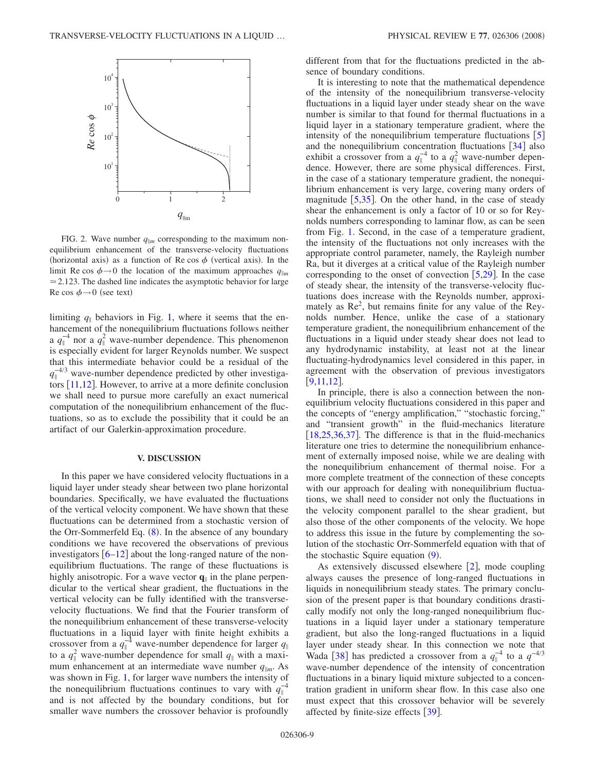<span id="page-8-0"></span>

FIG. 2. Wave number  $q_{\parallel m}$  corresponding to the maximum nonequilibrium enhancement of the transverse-velocity fluctuations (horizontal axis) as a function of Re cos  $\phi$  (vertical axis). In the limit Re cos  $\phi \rightarrow 0$  the location of the maximum approaches  $q_{\parallel m}$  $\approx$  2.123. The dashed line indicates the asymptotic behavior for large Re cos  $\phi \rightarrow 0$  (see text)

limiting  $q_{\parallel}$  behaviors in Fig. [1,](#page-5-0) where it seems that the enhancement of the nonequilibrium fluctuations follows neither a  $q_{\parallel}^{-4}$  nor a  $q_{\parallel}^{2}$  wave-number dependence. This phenomenon is especially evident for larger Reynolds number. We suspect that this intermediate behavior could be a residual of the  $q_{\parallel}^{-4/3}$  wave-number dependence predicted by other investigators  $[11,12]$  $[11,12]$  $[11,12]$  $[11,12]$ . However, to arrive at a more definite conclusion we shall need to pursue more carefully an exact numerical computation of the nonequilibrium enhancement of the fluctuations, so as to exclude the possibility that it could be an artifact of our Galerkin-approximation procedure.

#### **V. DISCUSSION**

In this paper we have considered velocity fluctuations in a liquid layer under steady shear between two plane horizontal boundaries. Specifically, we have evaluated the fluctuations of the vertical velocity component. We have shown that these fluctuations can be determined from a stochastic version of the Orr-Sommerfeld Eq.  $(8)$  $(8)$  $(8)$ . In the absence of any boundary conditions we have recovered the observations of previous investigators  $\lceil 6{-}12 \rceil$  $\lceil 6{-}12 \rceil$  $\lceil 6{-}12 \rceil$  about the long-ranged nature of the nonequilibrium fluctuations. The range of these fluctuations is highly anisotropic. For a wave vector  $\mathbf{q}_{\parallel}$  in the plane perpendicular to the vertical shear gradient, the fluctuations in the vertical velocity can be fully identified with the transversevelocity fluctuations. We find that the Fourier transform of the nonequilibrium enhancement of these transverse-velocity fluctuations in a liquid layer with finite height exhibits a crossover from a  $q_{\parallel}^{-4}$  wave-number dependence for larger  $q_{\parallel}$ to a  $q_{\parallel}^2$  wave-number dependence for small  $q_{\parallel}$  with a maximum enhancement at an intermediate wave number  $q_{\parallel m}$ . As was shown in Fig. [1,](#page-5-0) for larger wave numbers the intensity of the nonequilibrium fluctuations continues to vary with  $q_{\parallel}^{-4}$ and is not affected by the boundary conditions, but for smaller wave numbers the crossover behavior is profoundly different from that for the fluctuations predicted in the absence of boundary conditions.

It is interesting to note that the mathematical dependence of the intensity of the nonequilibrium transverse-velocity fluctuations in a liquid layer under steady shear on the wave number is similar to that found for thermal fluctuations in a liquid layer in a stationary temperature gradient, where the intensity of the nonequilibrium temperature fluctuations  $\lceil 5 \rceil$  $\lceil 5 \rceil$  $\lceil 5 \rceil$ and the nonequilibrium concentration fluctuations  $\left[34\right]$  $\left[34\right]$  $\left[34\right]$  also exhibit a crossover from a  $q_{\parallel}^{-4}$  to a  $q_{\parallel}^{2}$  wave-number dependence. However, there are some physical differences. First, in the case of a stationary temperature gradient, the nonequilibrium enhancement is very large, covering many orders of magnitude  $\left[5,35\right]$  $\left[5,35\right]$  $\left[5,35\right]$  $\left[5,35\right]$ . On the other hand, in the case of steady shear the enhancement is only a factor of 10 or so for Reynolds numbers corresponding to laminar flow, as can be seen from Fig. [1.](#page-5-0) Second, in the case of a temperature gradient, the intensity of the fluctuations not only increases with the appropriate control parameter, namely, the Rayleigh number Ra, but it diverges at a critical value of the Rayleigh number corresponding to the onset of convection  $[5,29]$  $[5,29]$  $[5,29]$  $[5,29]$ . In the case of steady shear, the intensity of the transverse-velocity fluctuations does increase with the Reynolds number, approximately as Re<sup>2</sup>, but remains finite for any value of the Reynolds number. Hence, unlike the case of a stationary temperature gradient, the nonequilibrium enhancement of the fluctuations in a liquid under steady shear does not lead to any hydrodynamic instability, at least not at the linear fluctuating-hydrodynamics level considered in this paper, in agreement with the observation of previous investigators  $[9,11,12]$  $[9,11,12]$  $[9,11,12]$  $[9,11,12]$  $[9,11,12]$ .

In principle, there is also a connection between the nonequilibrium velocity fluctuations considered in this paper and the concepts of "energy amplification," "stochastic forcing," and "transient growth" in the fluid-mechanics literature  $[18,25,36,37]$  $[18,25,36,37]$  $[18,25,36,37]$  $[18,25,36,37]$  $[18,25,36,37]$  $[18,25,36,37]$ . The difference is that in the fluid-mechanics literature one tries to determine the nonequilibrium enhancement of externally imposed noise, while we are dealing with the nonequilibrium enhancement of thermal noise. For a more complete treatment of the connection of these concepts with our approach for dealing with nonequilibrium fluctuations, we shall need to consider not only the fluctuations in the velocity component parallel to the shear gradient, but also those of the other components of the velocity. We hope to address this issue in the future by complementing the solution of the stochastic Orr-Sommerfeld equation with that of the stochastic Squire equation ([9](#page-2-4)).

As extensively discussed elsewhere  $\lceil 2 \rceil$  $\lceil 2 \rceil$  $\lceil 2 \rceil$ , mode coupling always causes the presence of long-ranged fluctuations in liquids in nonequilibrium steady states. The primary conclusion of the present paper is that boundary conditions drastically modify not only the long-ranged nonequilibrium fluctuations in a liquid layer under a stationary temperature gradient, but also the long-ranged fluctuations in a liquid layer under steady shear. In this connection we note that Wada [[38](#page-9-36)] has predicted a crossover from a  $q_{\parallel}^{-4}$  to a  $q^{-4/3}$ wave-number dependence of the intensity of concentration fluctuations in a binary liquid mixture subjected to a concentration gradient in uniform shear flow. In this case also one must expect that this crossover behavior will be severely affected by finite-size effects  $\lceil 39 \rceil$  $\lceil 39 \rceil$  $\lceil 39 \rceil$ .